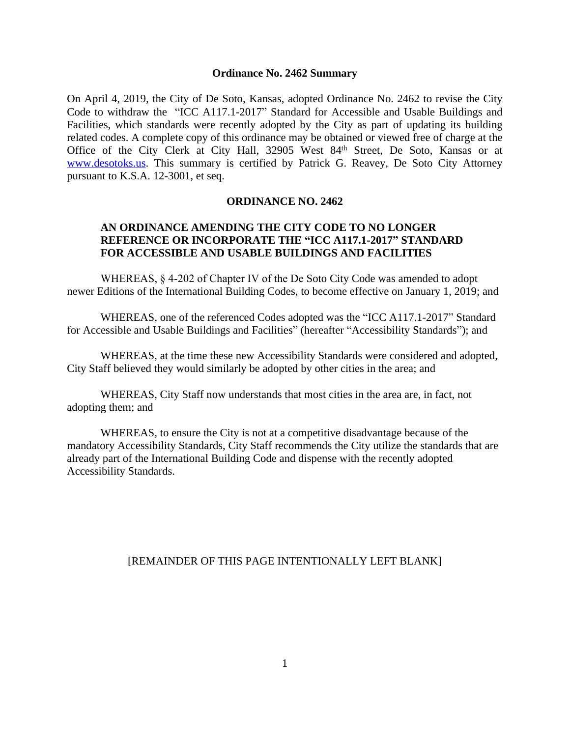### **Ordinance No. 2462 Summary**

On April 4, 2019, the City of De Soto, Kansas, adopted Ordinance No. 2462 to revise the City Code to withdraw the "ICC A117.1-2017" Standard for Accessible and Usable Buildings and Facilities, which standards were recently adopted by the City as part of updating its building related codes. A complete copy of this ordinance may be obtained or viewed free of charge at the Office of the City Clerk at City Hall, 32905 West 84<sup>th</sup> Street, De Soto, Kansas or at [www.desotoks.us.](http://www.desotoks.us) This summary is certified by Patrick G. Reavey, De Soto City Attorney pursuant to K.S.A. 12-3001, et seq.

### **ORDINANCE NO. 2462**

# **AN ORDINANCE AMENDING THE CITY CODE TO NO LONGER REFERENCE OR INCORPORATE THE "ICC A117.1-2017" STANDARD FOR ACCESSIBLE AND USABLE BUILDINGS AND FACILITIES**

WHEREAS, § 4-202 of Chapter IV of the De Soto City Code was amended to adopt newer Editions of the International Building Codes, to become effective on January 1, 2019; and

WHEREAS, one of the referenced Codes adopted was the "ICC A117.1-2017" Standard for Accessible and Usable Buildings and Facilities" (hereafter "Accessibility Standards"); and

WHEREAS, at the time these new Accessibility Standards were considered and adopted, City Staff believed they would similarly be adopted by other cities in the area; and

WHEREAS, City Staff now understands that most cities in the area are, in fact, not adopting them; and

WHEREAS, to ensure the City is not at a competitive disadvantage because of the mandatory Accessibility Standards, City Staff recommends the City utilize the standards that are already part of the International Building Code and dispense with the recently adopted Accessibility Standards.

### [REMAINDER OF THIS PAGE INTENTIONALLY LEFT BLANK]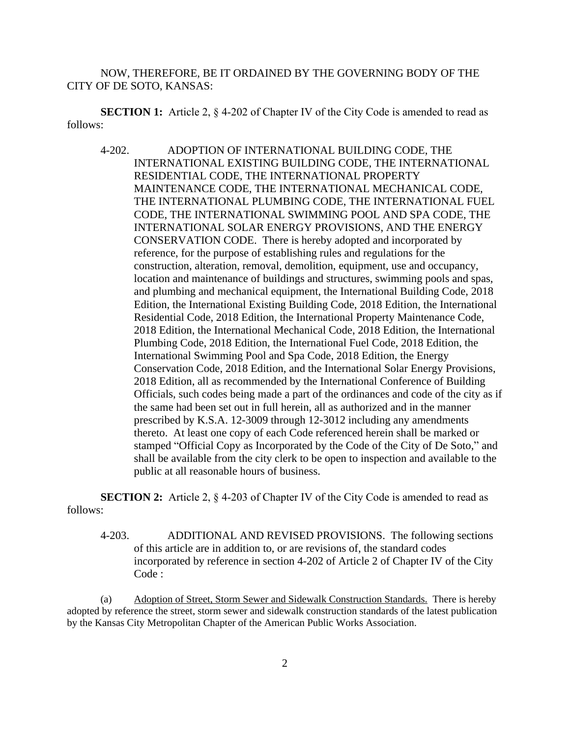NOW, THEREFORE, BE IT ORDAINED BY THE GOVERNING BODY OF THE CITY OF DE SOTO, KANSAS:

**SECTION 1:** Article 2, § 4-202 of Chapter IV of the City Code is amended to read as follows:

4-202. ADOPTION OF INTERNATIONAL BUILDING CODE, THE INTERNATIONAL EXISTING BUILDING CODE, THE INTERNATIONAL RESIDENTIAL CODE, THE INTERNATIONAL PROPERTY MAINTENANCE CODE, THE INTERNATIONAL MECHANICAL CODE, THE INTERNATIONAL PLUMBING CODE, THE INTERNATIONAL FUEL CODE, THE INTERNATIONAL SWIMMING POOL AND SPA CODE, THE INTERNATIONAL SOLAR ENERGY PROVISIONS, AND THE ENERGY CONSERVATION CODE. There is hereby adopted and incorporated by reference, for the purpose of establishing rules and regulations for the construction, alteration, removal, demolition, equipment, use and occupancy, location and maintenance of buildings and structures, swimming pools and spas, and plumbing and mechanical equipment, the International Building Code, 2018 Edition, the International Existing Building Code, 2018 Edition, the International Residential Code, 2018 Edition, the International Property Maintenance Code, 2018 Edition, the International Mechanical Code, 2018 Edition, the International Plumbing Code, 2018 Edition, the International Fuel Code, 2018 Edition, the International Swimming Pool and Spa Code, 2018 Edition, the Energy Conservation Code, 2018 Edition, and the International Solar Energy Provisions, 2018 Edition, all as recommended by the International Conference of Building Officials, such codes being made a part of the ordinances and code of the city as if the same had been set out in full herein, all as authorized and in the manner prescribed by K.S.A. 12-3009 through 12-3012 including any amendments thereto. At least one copy of each Code referenced herein shall be marked or stamped "Official Copy as Incorporated by the Code of the City of De Soto," and shall be available from the city clerk to be open to inspection and available to the public at all reasonable hours of business.

**SECTION 2:** Article 2,  $\&$  4-203 of Chapter IV of the City Code is amended to read as follows:

4-203. ADDITIONAL AND REVISED PROVISIONS. The following sections of this article are in addition to, or are revisions of, the standard codes incorporated by reference in section 4-202 of Article 2 of Chapter IV of the City Code :

(a) Adoption of Street, Storm Sewer and Sidewalk Construction Standards. There is hereby adopted by reference the street, storm sewer and sidewalk construction standards of the latest publication by the Kansas City Metropolitan Chapter of the American Public Works Association.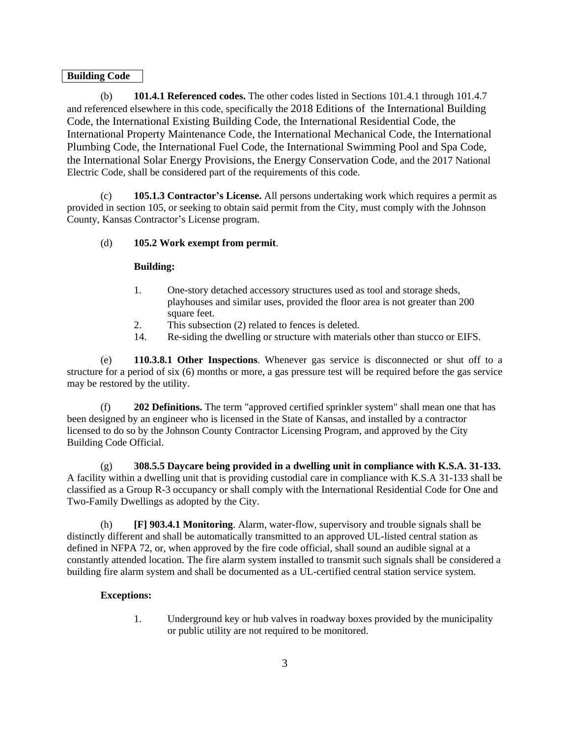### **Building Code**

(b) **101.4.1 Referenced codes.** The other codes listed in Sections 101.4.1 through 101.4.7 and referenced elsewhere in this code, specifically the 2018 Editions of the International Building Code, the International Existing Building Code, the International Residential Code, the International Property Maintenance Code, the International Mechanical Code, the International Plumbing Code, the International Fuel Code, the International Swimming Pool and Spa Code, the International Solar Energy Provisions, the Energy Conservation Code, and the 2017 National Electric Code, shall be considered part of the requirements of this code.

(c) **105.1.3 Contractor's License.** All persons undertaking work which requires a permit as provided in section 105, or seeking to obtain said permit from the City, must comply with the Johnson County, Kansas Contractor's License program.

### (d) **105.2 Work exempt from permit**.

### **Building:**

- 1. One-story detached accessory structures used as tool and storage sheds, playhouses and similar uses, provided the floor area is not greater than 200 square feet.
- 2. This subsection (2) related to fences is deleted.
- 14. Re-siding the dwelling or structure with materials other than stucco or EIFS.

(e) **110.3.8.1 Other Inspections**. Whenever gas service is disconnected or shut off to a structure for a period of six (6) months or more, a gas pressure test will be required before the gas service may be restored by the utility.

(f) **202 Definitions.** The term "approved certified sprinkler system" shall mean one that has been designed by an engineer who is licensed in the State of Kansas, and installed by a contractor licensed to do so by the Johnson County Contractor Licensing Program, and approved by the City Building Code Official.

(g) **308.5.5 Daycare being provided in a dwelling unit in compliance with K.S.A. 31-133.** A facility within a dwelling unit that is providing custodial care in compliance with K.S.A 31-133 shall be classified as a Group R-3 occupancy or shall comply with the International Residential Code for One and Two-Family Dwellings as adopted by the City.

(h) **[F] 903.4.1 Monitoring**. Alarm, water-flow, supervisory and trouble signals shall be distinctly different and shall be automatically transmitted to an approved UL-listed central station as defined in NFPA 72, or, when approved by the fire code official, shall sound an audible signal at a constantly attended location. The fire alarm system installed to transmit such signals shall be considered a building fire alarm system and shall be documented as a UL-certified central station service system.

### **Exceptions:**

1. Underground key or hub valves in roadway boxes provided by the municipality or public utility are not required to be monitored.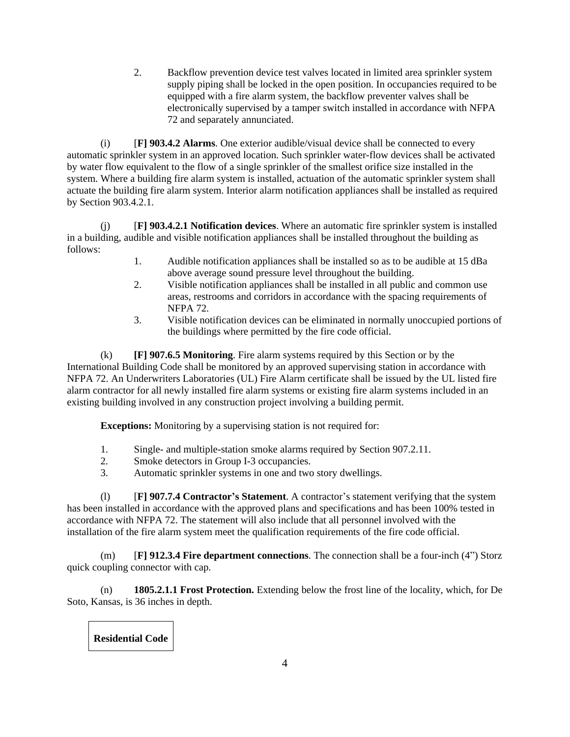2. Backflow prevention device test valves located in limited area sprinkler system supply piping shall be locked in the open position. In occupancies required to be equipped with a fire alarm system, the backflow preventer valves shall be electronically supervised by a tamper switch installed in accordance with NFPA 72 and separately annunciated.

(i) [**F] 903.4.2 Alarms**. One exterior audible/visual device shall be connected to every automatic sprinkler system in an approved location. Such sprinkler water-flow devices shall be activated by water flow equivalent to the flow of a single sprinkler of the smallest orifice size installed in the system. Where a building fire alarm system is installed, actuation of the automatic sprinkler system shall actuate the building fire alarm system. Interior alarm notification appliances shall be installed as required by Section 903.4.2.1.

(j) [**F] 903.4.2.1 Notification devices**. Where an automatic fire sprinkler system is installed in a building, audible and visible notification appliances shall be installed throughout the building as follows:

- 1. Audible notification appliances shall be installed so as to be audible at 15 dBa above average sound pressure level throughout the building.
- 2. Visible notification appliances shall be installed in all public and common use areas, restrooms and corridors in accordance with the spacing requirements of NFPA 72.
- 3. Visible notification devices can be eliminated in normally unoccupied portions of the buildings where permitted by the fire code official.

(k) **[F] 907.6.5 Monitoring**. Fire alarm systems required by this Section or by the International Building Code shall be monitored by an approved supervising station in accordance with NFPA 72. An Underwriters Laboratories (UL) Fire Alarm certificate shall be issued by the UL listed fire alarm contractor for all newly installed fire alarm systems or existing fire alarm systems included in an existing building involved in any construction project involving a building permit.

**Exceptions:** Monitoring by a supervising station is not required for:

- 1. Single- and multiple-station smoke alarms required by Section 907.2.11.
- 2. Smoke detectors in Group I-3 occupancies.
- 3. Automatic sprinkler systems in one and two story dwellings.

(l) [**F] 907.7.4 Contractor's Statement**. A contractor's statement verifying that the system has been installed in accordance with the approved plans and specifications and has been 100% tested in accordance with NFPA 72. The statement will also include that all personnel involved with the installation of the fire alarm system meet the qualification requirements of the fire code official.

(m) [**F] 912.3.4 Fire department connections**. The connection shall be a four-inch (4") Storz quick coupling connector with cap.

(n) **1805.2.1.1 Frost Protection.** Extending below the frost line of the locality, which, for De Soto, Kansas, is 36 inches in depth.

**Residential Code**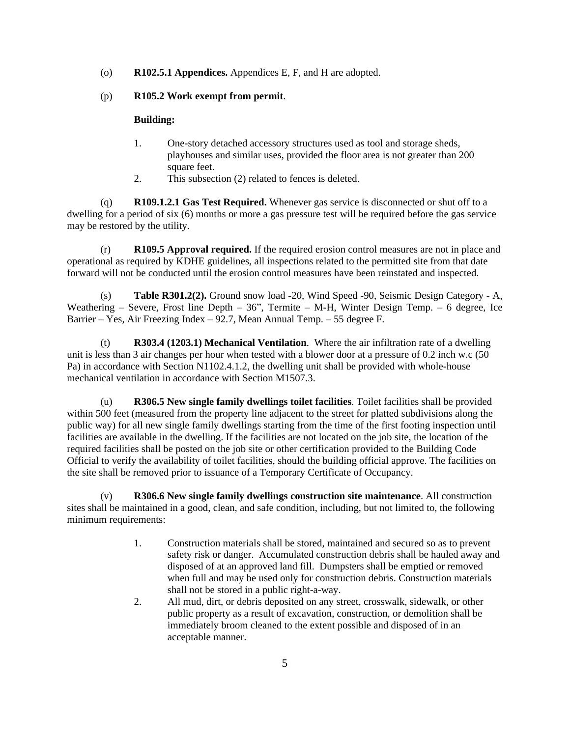(o) **R102.5.1 Appendices.** Appendices E, F, and H are adopted.

### (p) **R105.2 Work exempt from permit**.

### **Building:**

- 1. One-story detached accessory structures used as tool and storage sheds, playhouses and similar uses, provided the floor area is not greater than 200 square feet.
- 2. This subsection (2) related to fences is deleted.

(q) **R109.1.2.1 Gas Test Required.** Whenever gas service is disconnected or shut off to a dwelling for a period of six (6) months or more a gas pressure test will be required before the gas service may be restored by the utility.

(r) **R109.5 Approval required.** If the required erosion control measures are not in place and operational as required by KDHE guidelines, all inspections related to the permitted site from that date forward will not be conducted until the erosion control measures have been reinstated and inspected.

(s) **Table R301.2(2).** Ground snow load -20, Wind Speed -90, Seismic Design Category - A, Weathering – Severe, Frost line Depth –  $36$ ", Termite – M-H, Winter Design Temp. – 6 degree, Ice Barrier – Yes, Air Freezing Index –  $92.7$ , Mean Annual Temp. – 55 degree F.

(t) **R303.4 (1203.1) Mechanical Ventilation**. Where the air infiltration rate of a dwelling unit is less than 3 air changes per hour when tested with a blower door at a pressure of 0.2 inch w.c (50 Pa) in accordance with Section N1102.4.1.2, the dwelling unit shall be provided with whole-house mechanical ventilation in accordance with Section M1507.3.

(u) **R306.5 New single family dwellings toilet facilities**. Toilet facilities shall be provided within 500 feet (measured from the property line adjacent to the street for platted subdivisions along the public way) for all new single family dwellings starting from the time of the first footing inspection until facilities are available in the dwelling. If the facilities are not located on the job site, the location of the required facilities shall be posted on the job site or other certification provided to the Building Code Official to verify the availability of toilet facilities, should the building official approve. The facilities on the site shall be removed prior to issuance of a Temporary Certificate of Occupancy.

(v) **R306.6 New single family dwellings construction site maintenance**. All construction sites shall be maintained in a good, clean, and safe condition, including, but not limited to, the following minimum requirements:

- 1. Construction materials shall be stored, maintained and secured so as to prevent safety risk or danger. Accumulated construction debris shall be hauled away and disposed of at an approved land fill. Dumpsters shall be emptied or removed when full and may be used only for construction debris. Construction materials shall not be stored in a public right-a-way.
- 2. All mud, dirt, or debris deposited on any street, crosswalk, sidewalk, or other public property as a result of excavation, construction, or demolition shall be immediately broom cleaned to the extent possible and disposed of in an acceptable manner.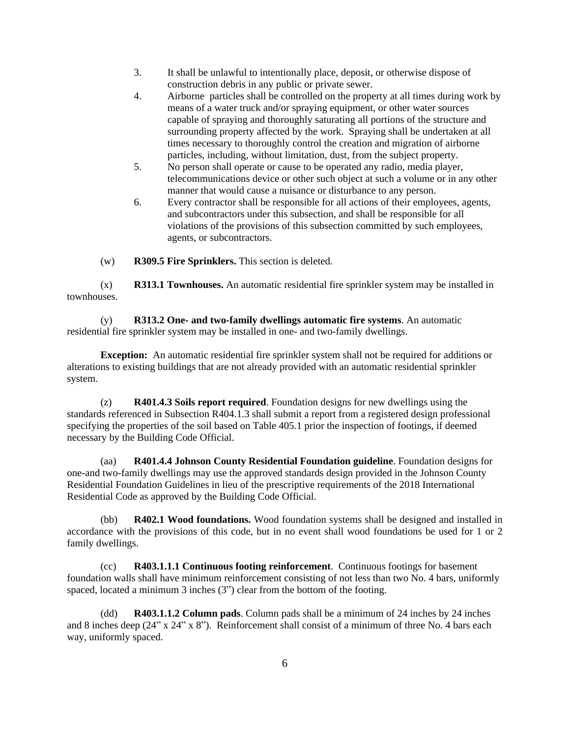- 3. It shall be unlawful to intentionally place, deposit, or otherwise dispose of construction debris in any public or private sewer.
- 4. Airborne particles shall be controlled on the property at all times during work by means of a water truck and/or spraying equipment, or other water sources capable of spraying and thoroughly saturating all portions of the structure and surrounding property affected by the work. Spraying shall be undertaken at all times necessary to thoroughly control the creation and migration of airborne particles, including, without limitation, dust, from the subject property.
- 5. No person shall operate or cause to be operated any radio, media player, telecommunications device or other such object at such a volume or in any other manner that would cause a nuisance or disturbance to any person.
- 6. Every contractor shall be responsible for all actions of their employees, agents, and subcontractors under this subsection, and shall be responsible for all violations of the provisions of this subsection committed by such employees, agents, or subcontractors.

(w) **R309.5 Fire Sprinklers.** This section is deleted.

(x) **R313.1 Townhouses.** An automatic residential fire sprinkler system may be installed in townhouses.

(y) **R313.2 One- and two-family dwellings automatic fire systems**. An automatic residential fire sprinkler system may be installed in one- and two-family dwellings.

**Exception:** An automatic residential fire sprinkler system shall not be required for additions or alterations to existing buildings that are not already provided with an automatic residential sprinkler system.

(z) **R401.4.3 Soils report required**. Foundation designs for new dwellings using the standards referenced in Subsection R404.1.3 shall submit a report from a registered design professional specifying the properties of the soil based on Table 405.1 prior the inspection of footings, if deemed necessary by the Building Code Official.

(aa) **R401.4.4 Johnson County Residential Foundation guideline**. Foundation designs for one-and two-family dwellings may use the approved standards design provided in the Johnson County Residential Foundation Guidelines in lieu of the prescriptive requirements of the 2018 International Residential Code as approved by the Building Code Official.

(bb) **R402.1 Wood foundations.** Wood foundation systems shall be designed and installed in accordance with the provisions of this code, but in no event shall wood foundations be used for 1 or 2 family dwellings.

(cc) **R403.1.1.1 Continuous footing reinforcement**. Continuous footings for basement foundation walls shall have minimum reinforcement consisting of not less than two No. 4 bars, uniformly spaced, located a minimum 3 inches (3") clear from the bottom of the footing.

(dd) **R403.1.1.2 Column pads**. Column pads shall be a minimum of 24 inches by 24 inches and 8 inches deep (24" x 24" x 8"). Reinforcement shall consist of a minimum of three No. 4 bars each way, uniformly spaced.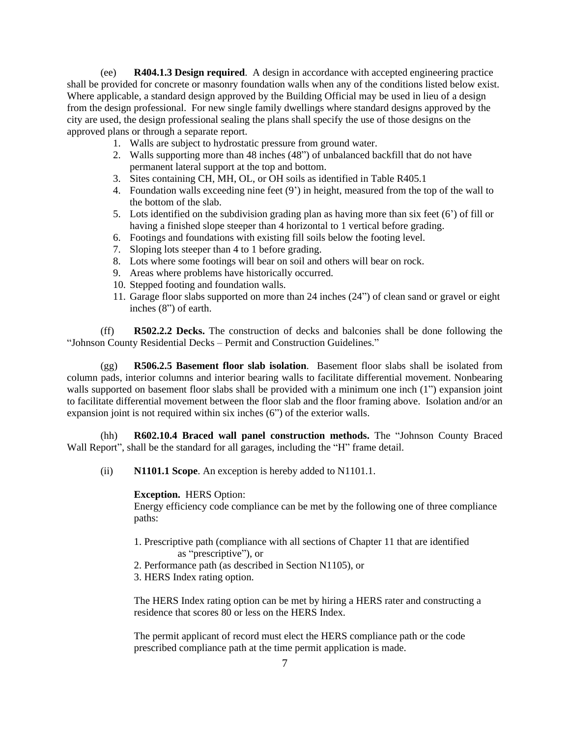(ee) **R404.1.3 Design required**. A design in accordance with accepted engineering practice shall be provided for concrete or masonry foundation walls when any of the conditions listed below exist. Where applicable, a standard design approved by the Building Official may be used in lieu of a design from the design professional. For new single family dwellings where standard designs approved by the city are used, the design professional sealing the plans shall specify the use of those designs on the approved plans or through a separate report.

- 1. Walls are subject to hydrostatic pressure from ground water.
- 2. Walls supporting more than 48 inches (48") of unbalanced backfill that do not have permanent lateral support at the top and bottom.
- 3. Sites containing CH, MH, OL, or OH soils as identified in Table R405.1
- 4. Foundation walls exceeding nine feet (9') in height, measured from the top of the wall to the bottom of the slab.
- 5. Lots identified on the subdivision grading plan as having more than six feet (6') of fill or having a finished slope steeper than 4 horizontal to 1 vertical before grading.
- 6. Footings and foundations with existing fill soils below the footing level.
- 7. Sloping lots steeper than 4 to 1 before grading.
- 8. Lots where some footings will bear on soil and others will bear on rock.
- 9. Areas where problems have historically occurred.
- 10. Stepped footing and foundation walls.
- 11. Garage floor slabs supported on more than 24 inches (24") of clean sand or gravel or eight inches (8") of earth.

(ff) **R502.2.2 Decks.** The construction of decks and balconies shall be done following the "Johnson County Residential Decks – Permit and Construction Guidelines."

(gg) **R506.2.5 Basement floor slab isolation**. Basement floor slabs shall be isolated from column pads, interior columns and interior bearing walls to facilitate differential movement. Nonbearing walls supported on basement floor slabs shall be provided with a minimum one inch (1") expansion joint to facilitate differential movement between the floor slab and the floor framing above. Isolation and/or an expansion joint is not required within six inches (6") of the exterior walls.

(hh) **R602.10.4 Braced wall panel construction methods.** The "Johnson County Braced Wall Report", shall be the standard for all garages, including the "H" frame detail.

(ii) **N1101.1 Scope**. An exception is hereby added to N1101.1.

#### **Exception.** HERS Option:

Energy efficiency code compliance can be met by the following one of three compliance paths:

- 1. Prescriptive path (compliance with all sections of Chapter 11 that are identified as "prescriptive"), or
- 2. Performance path (as described in Section N1105), or
- 3. HERS Index rating option.

The HERS Index rating option can be met by hiring a HERS rater and constructing a residence that scores 80 or less on the HERS Index.

The permit applicant of record must elect the HERS compliance path or the code prescribed compliance path at the time permit application is made.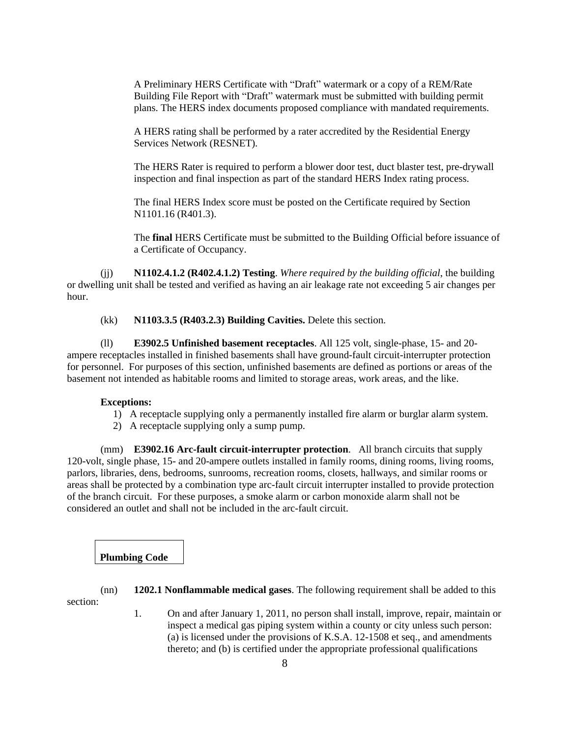A Preliminary HERS Certificate with "Draft" watermark or a copy of a REM/Rate Building File Report with "Draft" watermark must be submitted with building permit plans. The HERS index documents proposed compliance with mandated requirements.

A HERS rating shall be performed by a rater accredited by the Residential Energy Services Network (RESNET).

The HERS Rater is required to perform a blower door test, duct blaster test, pre-drywall inspection and final inspection as part of the standard HERS Index rating process.

The final HERS Index score must be posted on the Certificate required by Section N1101.16 (R401.3).

The **final** HERS Certificate must be submitted to the Building Official before issuance of a Certificate of Occupancy.

(jj) **N1102.4.1.2 (R402.4.1.2) Testing**. *Where required by the building official*, the building or dwelling unit shall be tested and verified as having an air leakage rate not exceeding 5 air changes per hour.

(kk) **N1103.3.5 (R403.2.3) Building Cavities.** Delete this section.

(ll) **E3902.5 Unfinished basement receptacles**. All 125 volt, single-phase, 15- and 20 ampere receptacles installed in finished basements shall have ground-fault circuit-interrupter protection for personnel. For purposes of this section, unfinished basements are defined as portions or areas of the basement not intended as habitable rooms and limited to storage areas, work areas, and the like.

#### **Exceptions:**

- 1) A receptacle supplying only a permanently installed fire alarm or burglar alarm system.
- 2) A receptacle supplying only a sump pump.

(mm) **E3902.16 Arc-fault circuit-interrupter protection**. All branch circuits that supply 120-volt, single phase, 15- and 20-ampere outlets installed in family rooms, dining rooms, living rooms, parlors, libraries, dens, bedrooms, sunrooms, recreation rooms, closets, hallways, and similar rooms or areas shall be protected by a combination type arc-fault circuit interrupter installed to provide protection of the branch circuit. For these purposes, a smoke alarm or carbon monoxide alarm shall not be considered an outlet and shall not be included in the arc-fault circuit.

**Plumbing Code**

(nn) **1202.1 Nonflammable medical gases**. The following requirement shall be added to this section:

> 1. On and after January 1, 2011, no person shall install, improve, repair, maintain or inspect a medical gas piping system within a county or city unless such person: (a) is licensed under the provisions of K.S.A. 12-1508 et seq., and amendments thereto; and (b) is certified under the appropriate professional qualifications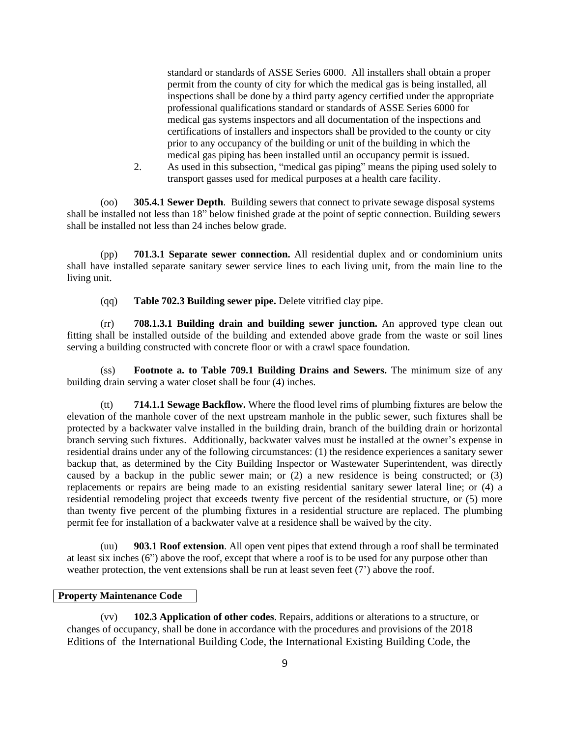standard or standards of ASSE Series 6000. All installers shall obtain a proper permit from the county of city for which the medical gas is being installed, all inspections shall be done by a third party agency certified under the appropriate professional qualifications standard or standards of ASSE Series 6000 for medical gas systems inspectors and all documentation of the inspections and certifications of installers and inspectors shall be provided to the county or city prior to any occupancy of the building or unit of the building in which the medical gas piping has been installed until an occupancy permit is issued.

2. As used in this subsection, "medical gas piping" means the piping used solely to transport gasses used for medical purposes at a health care facility.

(oo) **305.4.1 Sewer Depth**. Building sewers that connect to private sewage disposal systems shall be installed not less than 18" below finished grade at the point of septic connection. Building sewers shall be installed not less than 24 inches below grade.

(pp) **701.3.1 Separate sewer connection.** All residential duplex and or condominium units shall have installed separate sanitary sewer service lines to each living unit, from the main line to the living unit.

(qq) **Table 702.3 Building sewer pipe.** Delete vitrified clay pipe.

(rr) **708.1.3.1 Building drain and building sewer junction.** An approved type clean out fitting shall be installed outside of the building and extended above grade from the waste or soil lines serving a building constructed with concrete floor or with a crawl space foundation.

**Footnote a. to Table 709.1 Building Drains and Sewers.** The minimum size of any building drain serving a water closet shall be four (4) inches.

(tt) **714.1.1 Sewage Backflow.** Where the flood level rims of plumbing fixtures are below the elevation of the manhole cover of the next upstream manhole in the public sewer, such fixtures shall be protected by a backwater valve installed in the building drain, branch of the building drain or horizontal branch serving such fixtures. Additionally, backwater valves must be installed at the owner's expense in residential drains under any of the following circumstances: (1) the residence experiences a sanitary sewer backup that, as determined by the City Building Inspector or Wastewater Superintendent, was directly caused by a backup in the public sewer main; or (2) a new residence is being constructed; or (3) replacements or repairs are being made to an existing residential sanitary sewer lateral line; or (4) a residential remodeling project that exceeds twenty five percent of the residential structure, or (5) more than twenty five percent of the plumbing fixtures in a residential structure are replaced. The plumbing permit fee for installation of a backwater valve at a residence shall be waived by the city.

(uu) **903.1 Roof extension**. All open vent pipes that extend through a roof shall be terminated at least six inches (6") above the roof, except that where a roof is to be used for any purpose other than weather protection, the vent extensions shall be run at least seven feet (7') above the roof.

### **Property Maintenance Code**

(vv) **102.3 Application of other codes**. Repairs, additions or alterations to a structure, or changes of occupancy, shall be done in accordance with the procedures and provisions of the 2018 Editions of the International Building Code, the International Existing Building Code, the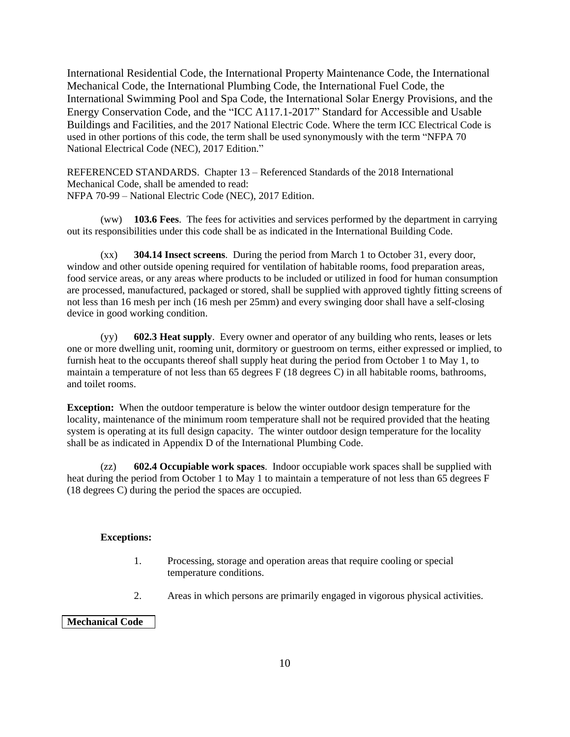International Residential Code, the International Property Maintenance Code, the International Mechanical Code, the International Plumbing Code, the International Fuel Code, the International Swimming Pool and Spa Code, the International Solar Energy Provisions, and the Energy Conservation Code, and the "ICC A117.1-2017" Standard for Accessible and Usable Buildings and Facilities, and the 2017 National Electric Code. Where the term ICC Electrical Code is used in other portions of this code, the term shall be used synonymously with the term "NFPA 70 National Electrical Code (NEC), 2017 Edition."

REFERENCED STANDARDS. Chapter 13 – Referenced Standards of the 2018 International Mechanical Code, shall be amended to read: NFPA 70-99 – National Electric Code (NEC), 2017 Edition.

(ww) **103.6 Fees**. The fees for activities and services performed by the department in carrying out its responsibilities under this code shall be as indicated in the International Building Code.

(xx) **304.14 Insect screens**. During the period from March 1 to October 31, every door, window and other outside opening required for ventilation of habitable rooms, food preparation areas, food service areas, or any areas where products to be included or utilized in food for human consumption are processed, manufactured, packaged or stored, shall be supplied with approved tightly fitting screens of not less than 16 mesh per inch (16 mesh per 25mm) and every swinging door shall have a self-closing device in good working condition.

(yy) **602.3 Heat supply**. Every owner and operator of any building who rents, leases or lets one or more dwelling unit, rooming unit, dormitory or guestroom on terms, either expressed or implied, to furnish heat to the occupants thereof shall supply heat during the period from October 1 to May 1, to maintain a temperature of not less than 65 degrees F (18 degrees C) in all habitable rooms, bathrooms, and toilet rooms.

**Exception:** When the outdoor temperature is below the winter outdoor design temperature for the locality, maintenance of the minimum room temperature shall not be required provided that the heating system is operating at its full design capacity. The winter outdoor design temperature for the locality shall be as indicated in Appendix D of the International Plumbing Code.

(zz) **602.4 Occupiable work spaces**. Indoor occupiable work spaces shall be supplied with heat during the period from October 1 to May 1 to maintain a temperature of not less than 65 degrees F (18 degrees C) during the period the spaces are occupied.

### **Exceptions:**

- 1. Processing, storage and operation areas that require cooling or special temperature conditions.
- 2. Areas in which persons are primarily engaged in vigorous physical activities.

### **Mechanical Code**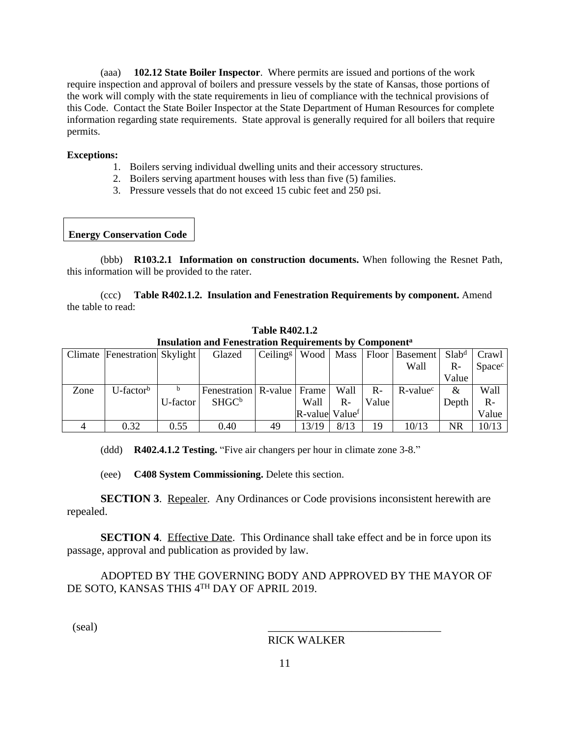(aaa) **102.12 State Boiler Inspector**.Where permits are issued and portions of the work require inspection and approval of boilers and pressure vessels by the state of Kansas, those portions of the work will comply with the state requirements in lieu of compliance with the technical provisions of this Code. Contact the State Boiler Inspector at the State Department of Human Resources for complete information regarding state requirements. State approval is generally required for all boilers that require permits.

#### **Exceptions:**

- 1. Boilers serving individual dwelling units and their accessory structures.
- 2. Boilers serving apartment houses with less than five (5) families.
- 3. Pressure vessels that do not exceed 15 cubic feet and 250 psi.

# **Energy Conservation Code**

(bbb) **R103.2.1 Information on construction documents.** When following the Resnet Path, this information will be provided to the rater.

(ccc) **Table R402.1.2. Insulation and Fenestration Requirements by component.** Amend the table to read:

| Thomation and Penestration Kegun ements by Component |                               |                       |                                |                                       |                                              |       |                       |                         |                   |        |
|------------------------------------------------------|-------------------------------|-----------------------|--------------------------------|---------------------------------------|----------------------------------------------|-------|-----------------------|-------------------------|-------------------|--------|
|                                                      | Climate Fenestration Skylight |                       | Glazed                         | $\left  \right $ Ceiling <sup>g</sup> | Wood                                         | Mass  | $\vert$ Floor $\vert$ | <b>Basement</b>         | Slab <sup>d</sup> | Crawl  |
|                                                      |                               |                       |                                |                                       |                                              |       |                       | Wall                    | $R-$              | Spacec |
|                                                      |                               |                       |                                |                                       |                                              |       |                       |                         | Value             |        |
| Zone                                                 | $U$ -factor <sup>b</sup>      | b                     | Fenestration   R-value   Frame |                                       |                                              | Wall  | $R -$                 | $R$ -value <sup>c</sup> | $\&$              | Wall   |
|                                                      |                               | U-factor <sup>1</sup> | SHGC <sup>b</sup>              |                                       | Wall                                         | $R -$ | Value                 |                         | Depth             | $R -$  |
|                                                      |                               |                       |                                |                                       | $\mathbb{R}\text{-value}$ Value <sup>f</sup> |       |                       |                         |                   | Value  |
|                                                      | 0.32                          | 0.55                  | 0.40                           | 49                                    | 13/19                                        | 8/13  | 19                    | 10/13                   | NR                | 10/13  |

**Table R402.1.2 Insulation and Fenestration Requirements by Component<sup>a</sup>**

(ddd) **R402.4.1.2 Testing.** "Five air changers per hour in climate zone 3-8."

(eee) **C408 System Commissioning.** Delete this section.

**SECTION 3.** Repealer. Any Ordinances or Code provisions inconsistent herewith are repealed.

**SECTION 4.** Effective Date. This Ordinance shall take effect and be in force upon its passage, approval and publication as provided by law.

ADOPTED BY THE GOVERNING BODY AND APPROVED BY THE MAYOR OF DE SOTO, KANSAS THIS 4<sup>th</sup> DAY OF APRIL 2019.

 $\left($ seal $\right)$ 

# RICK WALKER